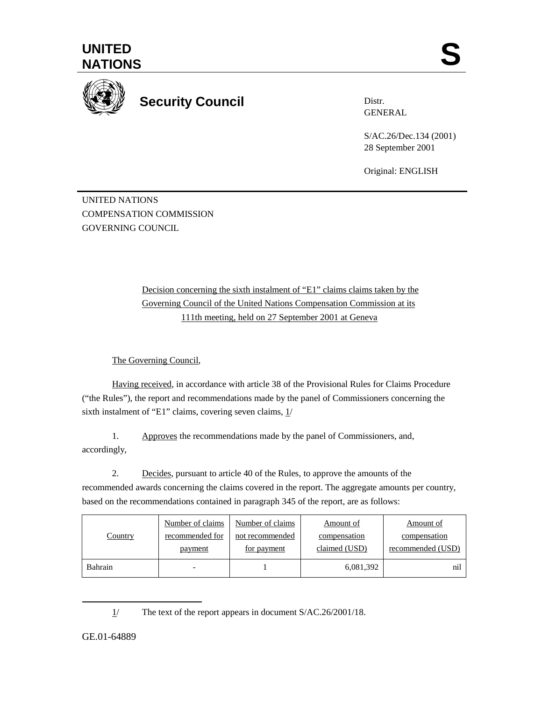



**Security Council** 

Distr. GENERAL

S/AC.26/Dec.134 (2001) 28 September 2001

Original: ENGLISH

UNITED NATIONS COMPENSATION COMMISSION GOVERNING COUNCIL

> Decision concerning the sixth instalment of "E1" claims claims taken by the Governing Council of the United Nations Compensation Commission at its 111th meeting, held on 27 September 2001 at Geneva

The Governing Council,

Having received, in accordance with article 38 of the Provisional Rules for Claims Procedure ("the Rules"), the report and recommendations made by the panel of Commissioners concerning the sixth instalment of "E1" claims, covering seven claims, 1/

1. Approves the recommendations made by the panel of Commissioners, and, accordingly,

2. Decides, pursuant to article 40 of the Rules, to approve the amounts of the recommended awards concerning the claims covered in the report. The aggregate amounts per country, based on the recommendations contained in paragraph 345 of the report, are as follows:

| Country | Number of claims | Number of claims | Amount of     | Amount of         |
|---------|------------------|------------------|---------------|-------------------|
|         | recommended for  | not recommended  | compensation  | compensation      |
|         | payment          | for payment      | claimed (USD) | recommended (USD) |
| Bahrain |                  |                  | 6,081,392     | nil               |

1/ The text of the report appears in document S/AC.26/2001/18.

GE.01-64889

 $\overline{a}$